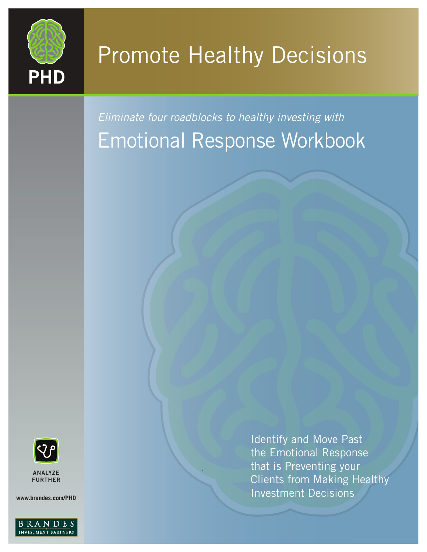

# Promote Healthy Decisions

*Eliminate four roadblocks to healthy investing with* Emotional Response Workbook



. ANALYZE **ANALYZE** FURTHER

**www.brandes.com/PHD**



Identify and Move Past the Emotional Response that is Preventing your Clients from Making Healthy Investment Decisions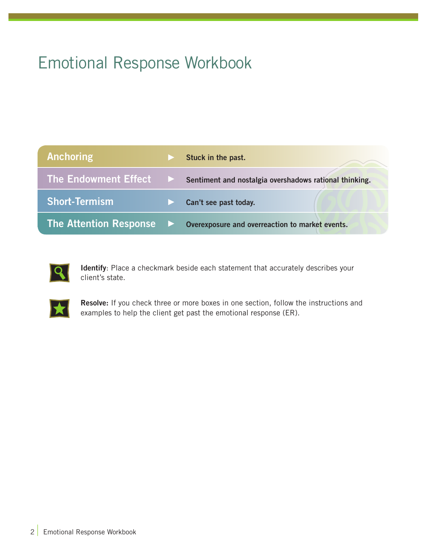## Emotional Response Workbook

| <b>Anchoring</b>              | Stuck in the past.                                     |
|-------------------------------|--------------------------------------------------------|
| The Endowment Effect ▶        | Sentiment and nostalgia overshadows rational thinking. |
| <b>Short-Termism</b>          | Can't see past today.                                  |
| <b>The Attention Response</b> | Overexposure and overreaction to market events.        |



Identify: Place a checkmark beside each statement that accurately describes your client's state.



Resolve: If you check three or more boxes in one section, follow the instructions and examples to help the client get past the emotional response (ER).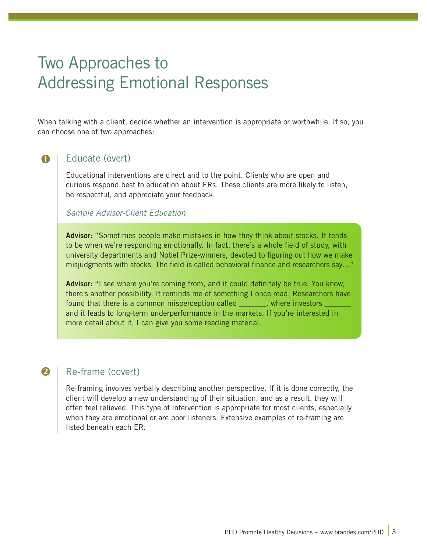## Two Approaches to Addressing Emotional Responses

When talking with a client, decide whether an intervention is appropriate or worthwhile. If so, you can choose one of two approaches:

#### Ω

### Educate (overt)

Educational interventions are direct and to the point. Clients who are open and curious respond best to education about ERs. These clients are more likely to listen, be respectful, and appreciate your feedback.

#### *Sample Advisor-Client Education*

Advisor: "Sometimes people make mistakes in how they think about stocks. It tends to be when we're responding emotionally. In fact, there's a whole field of study, with university departments and Nobel Prize-winners, devoted to figuring out how we make misjudgments with stocks. The field is called behavioral finance and researchers say…"

Advisor: "I see where you're coming from, and it could definitely be true. You know, there's another possibility. It reminds me of something I once read. Researchers have found that there is a common misperception called \_\_\_\_\_\_\_, where investors and it leads to long-term underperformance in the markets. If you're interested in more detail about it, I can give you some reading material.

#### Re-frame (covert)

2

Re-framing involves verbally describing another perspective. If it is done correctly, the client will develop a new understanding of their situation, and as a result, they will often feel relieved. This type of intervention is appropriate for most clients, especially when they are emotional or are poor listeners. Extensive examples of re-framing are listed beneath each ER.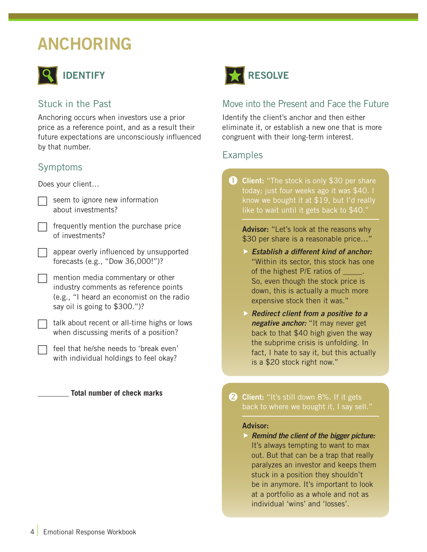## ANCHORING



### Stuck in the Past

Anchoring occurs when investors use a prior price as a reference point, and as a result their future expectations are unconsciously influenced by that number.

### Symptoms

Does your client…

- seem to ignore new information about investments?
	- frequently mention the purchase price of investments?
- $\Box$  appear overly influenced by unsupported forecasts (e.g., "Dow 36,000!")?
	- mention media commentary or other industry comments as reference points (e.g., "I heard an economist on the radio say oil is going to \$300.")?

 $\exists$  talk about recent or all-time highs or lows when discussing merits of a position?

feel that he/she needs to 'break even' with individual holdings to feel okay?

\_\_\_\_\_\_\_\_ **Total number of check marks**



### Move into the Present and Face the Future

Identify the client's anchor and then either eliminate it, or establish a new one that is more congruent with their long-term interest.

#### Examples

**Client:** "The stock is only \$30 per share today; just four weeks ago it was \$40. I know we bought it at \$19, but I'd really like to wait until it gets back to \$40." O.

Advisor: "Let's look at the reasons why \$30 per share is a reasonable price..."

- *Establish a different kind of anchor:*  "Within its sector, this stock has one of the highest P/E ratios of \_\_\_\_\_. So, even though the stock price is down, this is actually a much more expensive stock then it was."
- *Redirect client from a positive to a negative anchor:* "It may never get back to that \$40 high given the way the subprime crisis is unfolding. In fact, I hate to say it, but this actually is a \$20 stock right now."

**2 Client:** "It's still down 8%. If it gets back to where we bought it, I say sell."

#### Advisor:

 *Remind the client of the bigger picture:*  It's always tempting to want to max out. But that can be a trap that really paralyzes an investor and keeps them stuck in a position they shouldn't be in anymore. It's important to look at a portfolio as a whole and not as individual 'wins' and 'losses'.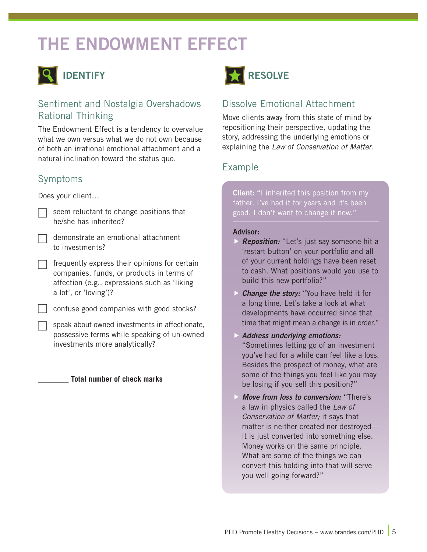## THE ENDOWMENT EFFECT



### Sentiment and Nostalgia Overshadows Rational Thinking

The Endowment Effect is a tendency to overvalue what we own versus what we do not own because of both an irrational emotional attachment and a natural inclination toward the status quo.

### Symptoms

Does your client…

- seem reluctant to change positions that he/she has inherited?
- $\Box$  demonstrate an emotional attachment to investments?
- frequently express their opinions for certain companies, funds, or products in terms of affection (e.g., expressions such as 'liking a lot', or 'loving')?
- confuse good companies with good stocks?
- speak about owned investments in affectionate, possessive terms while speaking of un-owned investments more analytically?

#### \_\_\_\_\_\_\_\_ **Total number of check marks**



## Dissolve Emotional Attachment

Move clients away from this state of mind by repositioning their perspective, updating the story, addressing the underlying emotions or explaining the *Law of Conservation of Matter.*

### Example

**Client:** "I inherited this position from my father. I've had it for years and it's been good. I don't want to change it now."

#### Advisor:

- *Reposition:* "Let's just say someone hit a 'restart button' on your portfolio and all of your current holdings have been reset to cash. What positions would you use to build this new portfolio?"
- **Change the story:** "You have held it for a long time. Let's take a look at what developments have occurred since that time that might mean a change is in order."
- *Address underlying emotions:*  "Sometimes letting go of an investment you've had for a while can feel like a loss. Besides the prospect of money, what are some of the things you feel like you may be losing if you sell this position?"
- *Move from loss to conversion:* "There's a law in physics called the *Law of Conservation of Matter;* it says that matter is neither created nor destroyed it is just converted into something else. Money works on the same principle. What are some of the things we can convert this holding into that will serve you well going forward?"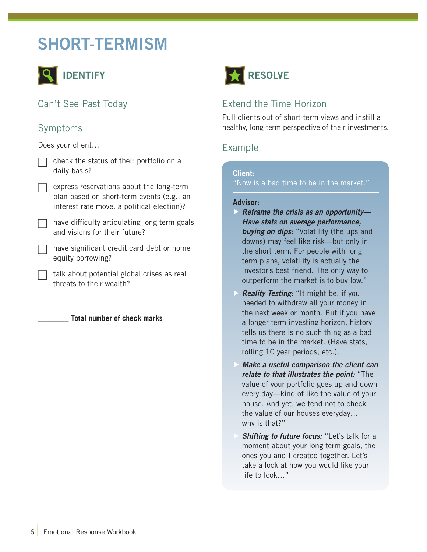## SHORT-TERMISM



Can't See Past Today

#### Symptoms

Does your client…

| $\Box$ check the status of their portfolio on a |
|-------------------------------------------------|
| daily basis?                                    |

express reservations about the long-term plan based on short-term events (e.g., an interest rate move, a political election)?

have difficulty articulating long term goals and visions for their future?

have significant credit card debt or home equity borrowing?

talk about potential global crises as real threats to their wealth?

\_\_\_\_\_\_\_\_ **Total number of check marks**



### Extend the Time Horizon

Pull clients out of short-term views and instill a healthy, long-term perspective of their investments.

#### Example

#### Client:

"Now is a bad time to be in the market."

#### Advisor:

- *Reframe the crisis as an opportunity— Have stats on average performance, buying on dips:* "Volatility (the ups and downs) may feel like risk—but only in the short term. For people with long term plans, volatility is actually the investor's best friend. The only way to outperform the market is to buy low."
- *Reality Testing:* "It might be, if you needed to withdraw all your money in the next week or month. But if you have a longer term investing horizon, history tells us there is no such thing as a bad time to be in the market. (Have stats, rolling 10 year periods, etc.).
- *Make a useful comparison the client can relate to that illustrates the point:* "The value of your portfolio goes up and down every day—kind of like the value of your house. And yet, we tend not to check the value of our houses everyday… why is that?"
- *Shifting to future focus:* "Let's talk for a moment about your long term goals, the ones you and I created together. Let's take a look at how you would like your life to look…"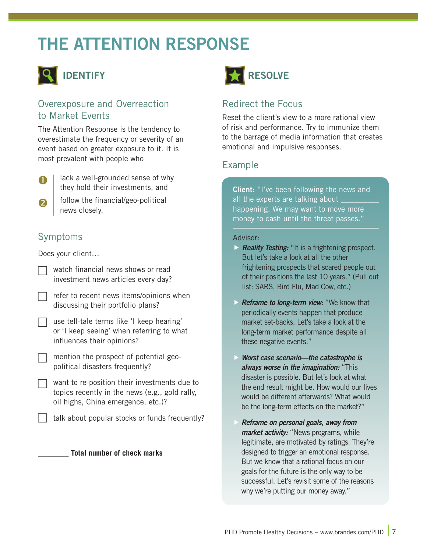## THE ATTENTION RESPONSE



#### Overexposure and Overreaction to Market Events

The Attention Response is the tendency to overestimate the frequency or severity of an event based on greater exposure to it. It is most prevalent with people who



2

lack a well-grounded sense of why they hold their investments, and

follow the financial/geo-political news closely.

## Symptoms

Does your client…

| $\Box$ watch financial news shows or read |
|-------------------------------------------|
| investment news articles every day?       |

| $\Box$ refer to recent news items/opinions when |
|-------------------------------------------------|
| discussing their portfolio plans?               |

| $\Box$ use tell-tale terms like 'I keep hearing' |
|--------------------------------------------------|
| or 'I keep seeing' when referring to what        |
| influences their opinions?                       |

- mention the prospect of potential geopolitical disasters frequently?
- $\Box$  want to re-position their investments due to topics recently in the news (e.g., gold rally, oil highs, China emergence, etc.)?
	- talk about popular stocks or funds frequently?

#### \_\_\_\_\_\_\_\_ **Total number of check marks**



## Redirect the Focus

Reset the client's view to a more rational view of risk and performance. Try to immunize them to the barrage of media information that creates emotional and impulsive responses.

#### Example

**Client:** "I've been following the news and all the experts are talking about \_ happening. We may want to move more money to cash until the threat passes."

#### Advisor:

- *Reality Testing:* "It is a frightening prospect. But let's take a look at all the other frightening prospects that scared people out of their positions the last 10 years." (Pull out list: SARS, Bird Flu, Mad Cow, etc.)
- *Reframe to long-term view:* "We know that periodically events happen that produce market set-backs. Let's take a look at the long-term market performance despite all these negative events."
- *Worst case scenario—the catastrophe is always worse in the imagination:* "This disaster is possible. But let's look at what the end result might be. How would our lives would be different afterwards? What would be the long-term effects on the market?"
- *Reframe on personal goals, away from market activity:* "News programs, while legitimate, are motivated by ratings. They're designed to trigger an emotional response. But we know that a rational focus on our goals for the future is the only way to be successful. Let's revisit some of the reasons why we're putting our money away."